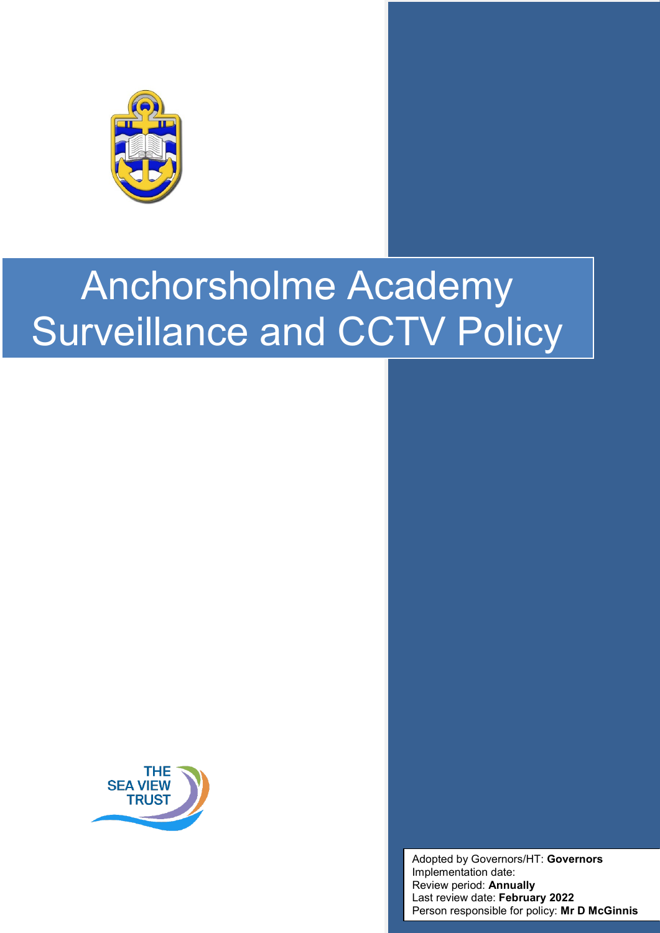



Adopted by Governors/HT: **Governors** Implementation date: Review period: **Annually** Last review date: **February 2022** Person responsible for policy: **Mr D McGinnis**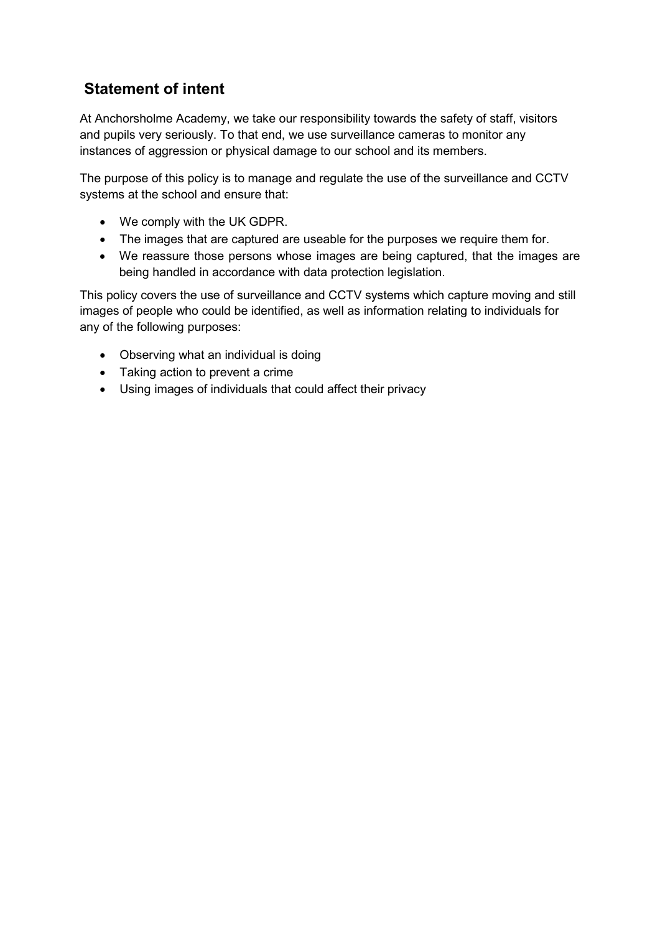## **Statement of intent**

At Anchorsholme Academy, we take our responsibility towards the safety of staff, visitors and pupils very seriously. To that end, we use surveillance cameras to monitor any instances of aggression or physical damage to our school and its members.

The purpose of this policy is to manage and regulate the use of the surveillance and CCTV systems at the school and ensure that:

- We comply with the UK GDPR.
- The images that are captured are useable for the purposes we require them for.
- We reassure those persons whose images are being captured, that the images are being handled in accordance with data protection legislation.

This policy covers the use of surveillance and CCTV systems which capture moving and still images of people who could be identified, as well as information relating to individuals for any of the following purposes:

- Observing what an individual is doing
- Taking action to prevent a crime
- Using images of individuals that could affect their privacy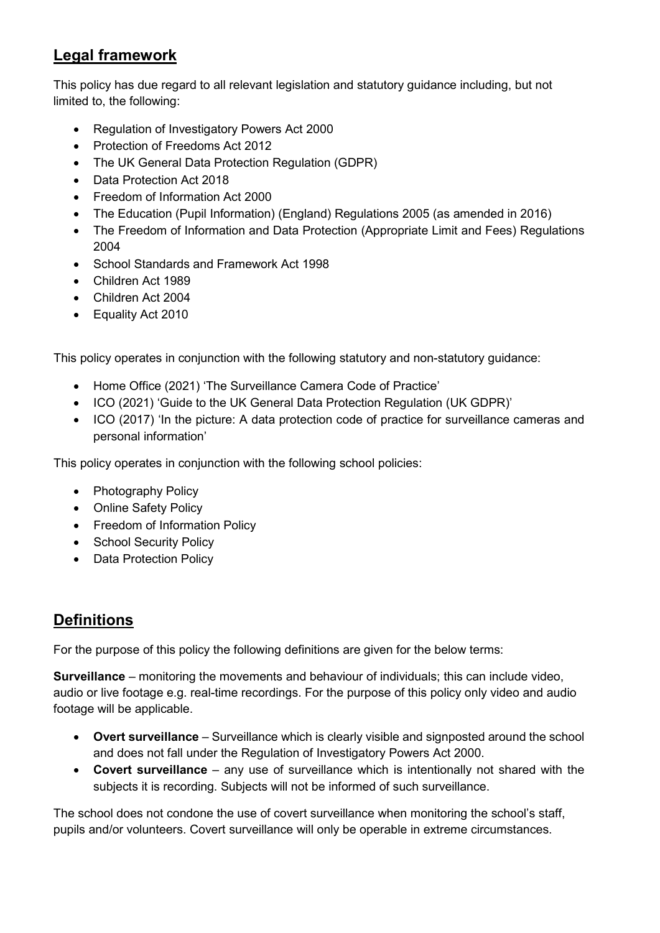## **Legal framework**

This policy has due regard to all relevant legislation and statutory guidance including, but not limited to, the following:

- Regulation of Investigatory Powers Act 2000
- Protection of Freedoms Act 2012
- The UK General Data Protection Regulation (GDPR)
- Data Protection Act 2018
- Freedom of Information Act 2000
- The Education (Pupil Information) (England) Regulations 2005 (as amended in 2016)
- The Freedom of Information and Data Protection (Appropriate Limit and Fees) Regulations 2004
- School Standards and Framework Act 1998
- Children Act 1989
- Children Act 2004
- Equality Act 2010

This policy operates in conjunction with the following statutory and non-statutory guidance:

- Home Office (2021) 'The Surveillance Camera Code of Practice'
- ICO (2021) 'Guide to the UK General Data Protection Regulation (UK GDPR)'
- ICO (2017) 'In the picture: A data protection code of practice for surveillance cameras and personal information'

This policy operates in conjunction with the following school policies:

- Photography Policy
- Online Safety Policy
- Freedom of Information Policy
- School Security Policy
- Data Protection Policy

# **Definitions**

For the purpose of this policy the following definitions are given for the below terms:

**Surveillance** – monitoring the movements and behaviour of individuals; this can include video, audio or live footage e.g. real-time recordings. For the purpose of this policy only video and audio footage will be applicable.

- **Overt surveillance** Surveillance which is clearly visible and signposted around the school and does not fall under the Regulation of Investigatory Powers Act 2000.
- **Covert surveillance** any use of surveillance which is intentionally not shared with the subjects it is recording. Subjects will not be informed of such surveillance.

The school does not condone the use of covert surveillance when monitoring the school's staff, pupils and/or volunteers. Covert surveillance will only be operable in extreme circumstances.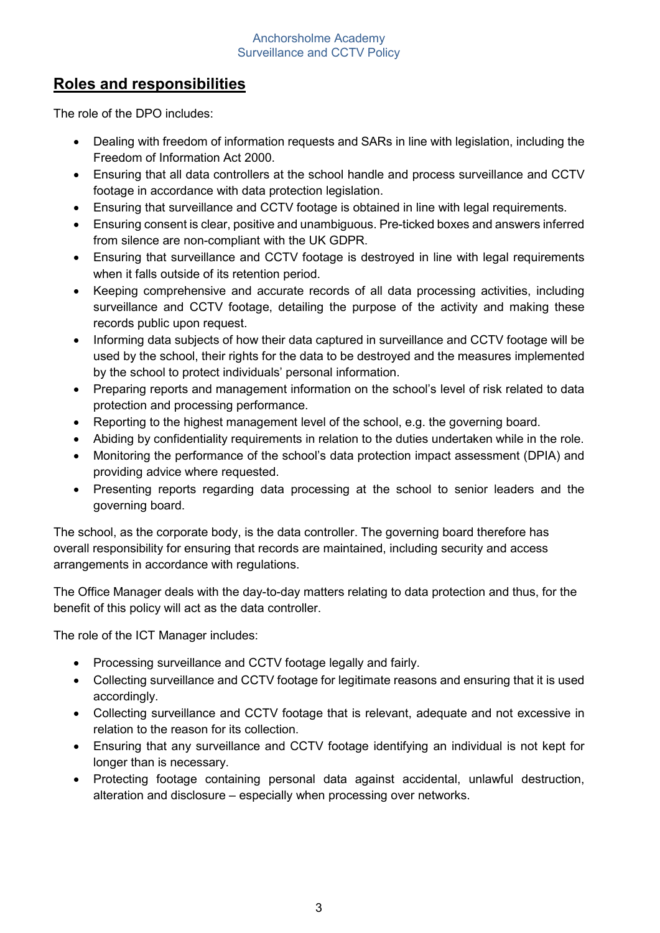## **Roles and responsibilities**

The role of the DPO includes:

- Dealing with freedom of information requests and SARs in line with legislation, including the Freedom of Information Act 2000.
- Ensuring that all data controllers at the school handle and process surveillance and CCTV footage in accordance with data protection legislation.
- Ensuring that surveillance and CCTV footage is obtained in line with legal requirements.
- Ensuring consent is clear, positive and unambiguous. Pre-ticked boxes and answers inferred from silence are non-compliant with the UK GDPR.
- Ensuring that surveillance and CCTV footage is destroyed in line with legal requirements when it falls outside of its retention period.
- Keeping comprehensive and accurate records of all data processing activities, including surveillance and CCTV footage, detailing the purpose of the activity and making these records public upon request.
- Informing data subjects of how their data captured in surveillance and CCTV footage will be used by the school, their rights for the data to be destroyed and the measures implemented by the school to protect individuals' personal information.
- Preparing reports and management information on the school's level of risk related to data protection and processing performance.
- Reporting to the highest management level of the school, e.g. the governing board.
- Abiding by confidentiality requirements in relation to the duties undertaken while in the role.
- Monitoring the performance of the school's data protection impact assessment (DPIA) and providing advice where requested.
- Presenting reports regarding data processing at the school to senior leaders and the governing board.

The school, as the corporate body, is the data controller. The governing board therefore has overall responsibility for ensuring that records are maintained, including security and access arrangements in accordance with regulations.

The Office Manager deals with the day-to-day matters relating to data protection and thus, for the benefit of this policy will act as the data controller.

The role of the ICT Manager includes:

- Processing surveillance and CCTV footage legally and fairly.
- Collecting surveillance and CCTV footage for legitimate reasons and ensuring that it is used accordingly.
- Collecting surveillance and CCTV footage that is relevant, adequate and not excessive in relation to the reason for its collection.
- Ensuring that any surveillance and CCTV footage identifying an individual is not kept for longer than is necessary.
- Protecting footage containing personal data against accidental, unlawful destruction, alteration and disclosure – especially when processing over networks.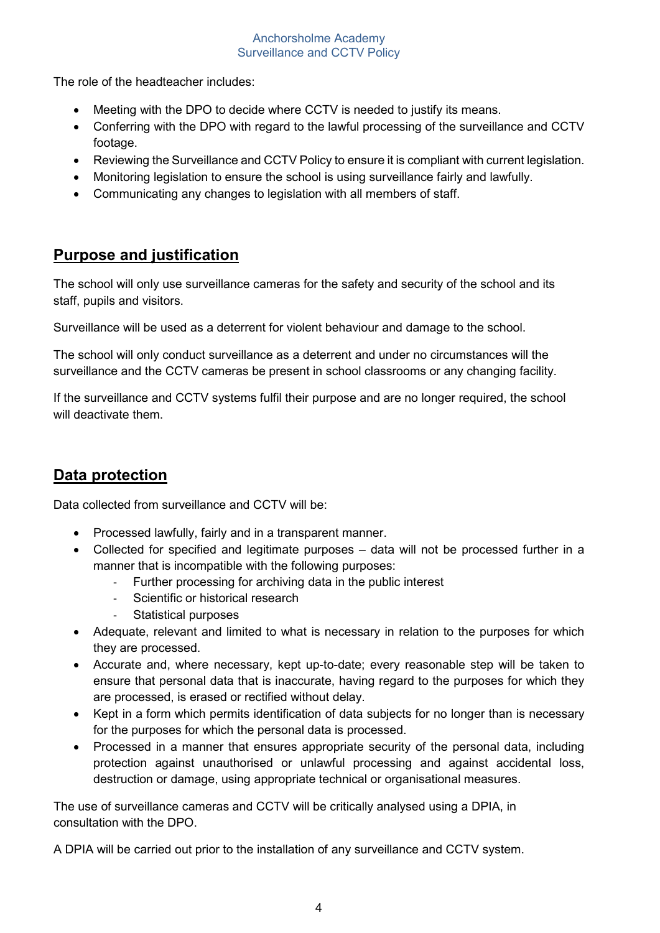The role of the headteacher includes:

- Meeting with the DPO to decide where CCTV is needed to justify its means.
- Conferring with the DPO with regard to the lawful processing of the surveillance and CCTV footage.
- Reviewing the Surveillance and CCTV Policy to ensure it is compliant with current legislation.
- Monitoring legislation to ensure the school is using surveillance fairly and lawfully.
- Communicating any changes to legislation with all members of staff.

### **Purpose and justification**

The school will only use surveillance cameras for the safety and security of the school and its staff, pupils and visitors.

Surveillance will be used as a deterrent for violent behaviour and damage to the school.

The school will only conduct surveillance as a deterrent and under no circumstances will the surveillance and the CCTV cameras be present in school classrooms or any changing facility.

If the surveillance and CCTV systems fulfil their purpose and are no longer required, the school will deactivate them.

# **Data protection**

Data collected from surveillance and CCTV will be:

- Processed lawfully, fairly and in a transparent manner.
- Collected for specified and legitimate purposes data will not be processed further in a manner that is incompatible with the following purposes:
	- Further processing for archiving data in the public interest
	- Scientific or historical research
	- Statistical purposes
- Adequate, relevant and limited to what is necessary in relation to the purposes for which they are processed.
- Accurate and, where necessary, kept up-to-date; every reasonable step will be taken to ensure that personal data that is inaccurate, having regard to the purposes for which they are processed, is erased or rectified without delay.
- Kept in a form which permits identification of data subjects for no longer than is necessary for the purposes for which the personal data is processed.
- Processed in a manner that ensures appropriate security of the personal data, including protection against unauthorised or unlawful processing and against accidental loss, destruction or damage, using appropriate technical or organisational measures.

The use of surveillance cameras and CCTV will be critically analysed using a DPIA, in consultation with the DPO.

A DPIA will be carried out prior to the installation of any surveillance and CCTV system.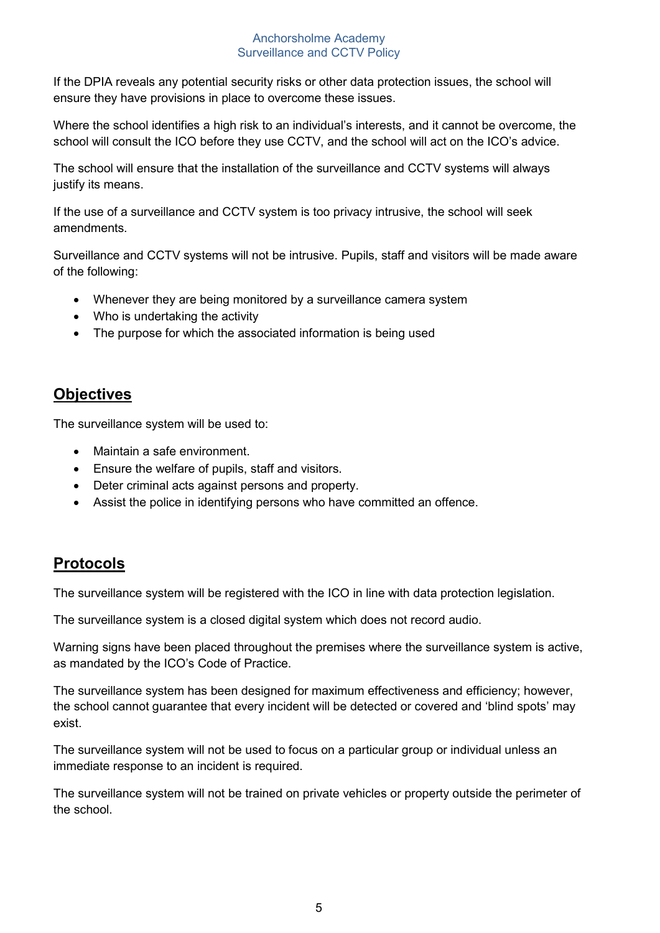If the DPIA reveals any potential security risks or other data protection issues, the school will ensure they have provisions in place to overcome these issues.

Where the school identifies a high risk to an individual's interests, and it cannot be overcome, the school will consult the ICO before they use CCTV, and the school will act on the ICO's advice.

The school will ensure that the installation of the surveillance and CCTV systems will always justify its means.

If the use of a surveillance and CCTV system is too privacy intrusive, the school will seek amendments.

Surveillance and CCTV systems will not be intrusive. Pupils, staff and visitors will be made aware of the following:

- Whenever they are being monitored by a surveillance camera system
- Who is undertaking the activity
- The purpose for which the associated information is being used

## **Objectives**

The surveillance system will be used to:

- Maintain a safe environment.
- Ensure the welfare of pupils, staff and visitors.
- Deter criminal acts against persons and property.
- Assist the police in identifying persons who have committed an offence.

## **Protocols**

The surveillance system will be registered with the ICO in line with data protection legislation.

The surveillance system is a closed digital system which does not record audio.

Warning signs have been placed throughout the premises where the surveillance system is active, as mandated by the ICO's Code of Practice.

The surveillance system has been designed for maximum effectiveness and efficiency; however, the school cannot guarantee that every incident will be detected or covered and 'blind spots' may exist.

The surveillance system will not be used to focus on a particular group or individual unless an immediate response to an incident is required.

The surveillance system will not be trained on private vehicles or property outside the perimeter of the school.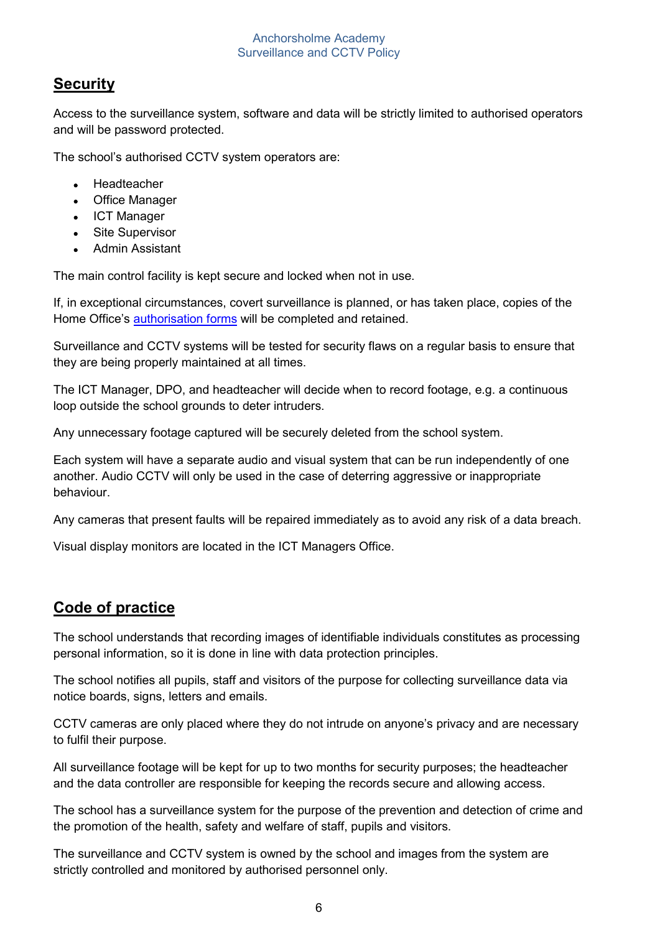## **Security**

Access to the surveillance system, software and data will be strictly limited to authorised operators and will be password protected.

The school's authorised CCTV system operators are:

- Headteacher
- Office Manager
- ICT Manager
- Site Supervisor
- Admin Assistant

The main control facility is kept secure and locked when not in use.

If, in exceptional circumstances, covert surveillance is planned, or has taken place, copies of the Home Office's [authorisation forms](https://www.gov.uk/government/publications/application-for-use-of-directed-surveillance) will be completed and retained.

Surveillance and CCTV systems will be tested for security flaws on a regular basis to ensure that they are being properly maintained at all times.

The ICT Manager, DPO, and headteacher will decide when to record footage, e.g. a continuous loop outside the school grounds to deter intruders.

Any unnecessary footage captured will be securely deleted from the school system.

Each system will have a separate audio and visual system that can be run independently of one another. Audio CCTV will only be used in the case of deterring aggressive or inappropriate behaviour.

Any cameras that present faults will be repaired immediately as to avoid any risk of a data breach.

Visual display monitors are located in the ICT Managers Office.

#### **Code of practice**

The school understands that recording images of identifiable individuals constitutes as processing personal information, so it is done in line with data protection principles.

The school notifies all pupils, staff and visitors of the purpose for collecting surveillance data via notice boards, signs, letters and emails.

CCTV cameras are only placed where they do not intrude on anyone's privacy and are necessary to fulfil their purpose.

All surveillance footage will be kept for up to two months for security purposes; the headteacher and the data controller are responsible for keeping the records secure and allowing access.

The school has a surveillance system for the purpose of the prevention and detection of crime and the promotion of the health, safety and welfare of staff, pupils and visitors.

The surveillance and CCTV system is owned by the school and images from the system are strictly controlled and monitored by authorised personnel only.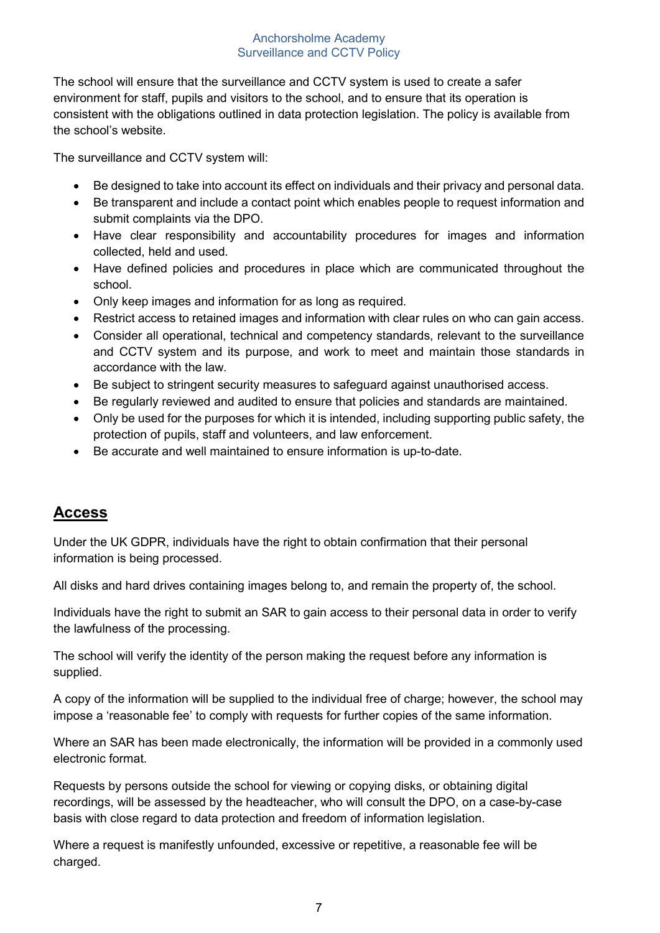The school will ensure that the surveillance and CCTV system is used to create a safer environment for staff, pupils and visitors to the school, and to ensure that its operation is consistent with the obligations outlined in data protection legislation. The policy is available from the school's website.

The surveillance and CCTV system will:

- Be designed to take into account its effect on individuals and their privacy and personal data.
- Be transparent and include a contact point which enables people to request information and submit complaints via the DPO.
- Have clear responsibility and accountability procedures for images and information collected, held and used.
- Have defined policies and procedures in place which are communicated throughout the school.
- Only keep images and information for as long as required.
- Restrict access to retained images and information with clear rules on who can gain access.
- Consider all operational, technical and competency standards, relevant to the surveillance and CCTV system and its purpose, and work to meet and maintain those standards in accordance with the law.
- Be subject to stringent security measures to safeguard against unauthorised access.
- Be regularly reviewed and audited to ensure that policies and standards are maintained.
- Only be used for the purposes for which it is intended, including supporting public safety, the protection of pupils, staff and volunteers, and law enforcement.
- Be accurate and well maintained to ensure information is up-to-date.

#### **Access**

Under the UK GDPR, individuals have the right to obtain confirmation that their personal information is being processed.

All disks and hard drives containing images belong to, and remain the property of, the school.

Individuals have the right to submit an SAR to gain access to their personal data in order to verify the lawfulness of the processing.

The school will verify the identity of the person making the request before any information is supplied.

A copy of the information will be supplied to the individual free of charge; however, the school may impose a 'reasonable fee' to comply with requests for further copies of the same information.

Where an SAR has been made electronically, the information will be provided in a commonly used electronic format.

Requests by persons outside the school for viewing or copying disks, or obtaining digital recordings, will be assessed by the headteacher, who will consult the DPO, on a case-by-case basis with close regard to data protection and freedom of information legislation.

Where a request is manifestly unfounded, excessive or repetitive, a reasonable fee will be charged.